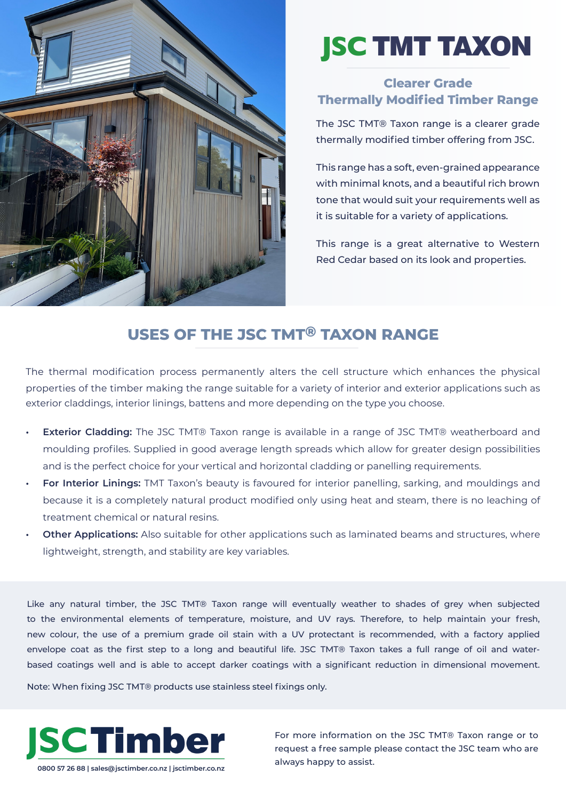

# **JSC** TMT TAXON

## **Clearer Grade Thermally Modified Timber Range**

The JSC TMT® Taxon range is a clearer grade thermally modified timber offering from JSC.

This range has a soft, even-grained appearance with minimal knots, and a beautiful rich brown tone that would suit your requirements well as it is suitable for a variety of applications.

This range is a great alternative to Western Red Cedar based on its look and properties.

# **USES OF THE JSC TMT® TAXON RANGE**

The thermal modification process permanently alters the cell structure which enhances the physical properties of the timber making the range suitable for a variety of interior and exterior applications such as exterior claddings, interior linings, battens and more depending on the type you choose.

- **• Exterior Cladding:** The JSC TMT® Taxon range is available in a range of JSC TMT® weatherboard and moulding profiles. Supplied in good average length spreads which allow for greater design possibilities and is the perfect choice for your vertical and horizontal cladding or panelling requirements.
- **• For Interior Linings:** TMT Taxon's beauty is favoured for interior panelling, sarking, and mouldings and because it is a completely natural product modified only using heat and steam, there is no leaching of treatment chemical or natural resins.
- **• Other Applications:** Also suitable for other applications such as laminated beams and structures, where lightweight, strength, and stability are key variables.

Like any natural timber, the JSC TMT® Taxon range will eventually weather to shades of grey when subjected to the environmental elements of temperature, moisture, and UV rays. Therefore, to help maintain your fresh, new colour, the use of a premium grade oil stain with a UV protectant is recommended, with a factory applied envelope coat as the first step to a long and beautiful life. JSC TMT® Taxon takes a full range of oil and waterbased coatings well and is able to accept darker coatings with a significant reduction in dimensional movement.

Note: When fixing JSC TMT® products use stainless steel fixings only.



For more information on the JSC TMT® Taxon range or to request a free sample please contact the JSC team who are always happy to assist.